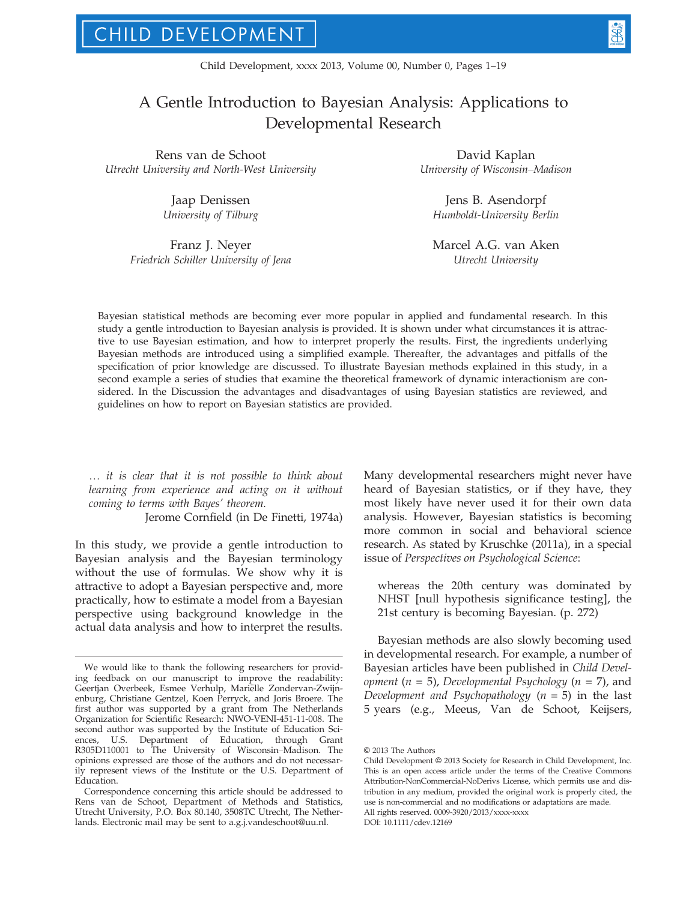# A Gentle Introduction to Bayesian Analysis: Applications to Developmental Research

Rens van de Schoot Utrecht University and North-West University

> Jaap Denissen University of Tilburg

Franz J. Never Friedrich Schiller University of Jena

David Kaplan University of Wisconsin–Madison

Jens B. Asendorpf Humboldt-University Berlin

Marcel A.G. van Aken Utrecht University

Bayesian statistical methods are becoming ever more popular in applied and fundamental research. In this study a gentle introduction to Bayesian analysis is provided. It is shown under what circumstances it is attractive to use Bayesian estimation, and how to interpret properly the results. First, the ingredients underlying Bayesian methods are introduced using a simplified example. Thereafter, the advantages and pitfalls of the specification of prior knowledge are discussed. To illustrate Bayesian methods explained in this study, in a second example a series of studies that examine the theoretical framework of dynamic interactionism are considered. In the Discussion the advantages and disadvantages of using Bayesian statistics are reviewed, and guidelines on how to report on Bayesian statistics are provided.

… it is clear that it is not possible to think about learning from experience and acting on it without coming to terms with Bayes' theorem.

Jerome Cornfield (in De Finetti, 1974a)

In this study, we provide a gentle introduction to Bayesian analysis and the Bayesian terminology without the use of formulas. We show why it is attractive to adopt a Bayesian perspective and, more practically, how to estimate a model from a Bayesian perspective using background knowledge in the actual data analysis and how to interpret the results.

Many developmental researchers might never have heard of Bayesian statistics, or if they have, they most likely have never used it for their own data analysis. However, Bayesian statistics is becoming more common in social and behavioral science research. As stated by Kruschke (2011a), in a special issue of Perspectives on Psychological Science:

whereas the 20th century was dominated by NHST [null hypothesis significance testing], the 21st century is becoming Bayesian. (p. 272)

Bayesian methods are also slowly becoming used in developmental research. For example, a number of Bayesian articles have been published in Child Development ( $n = 5$ ), Developmental Psychology ( $n = 7$ ), and Development and Psychopathology ( $n = 5$ ) in the last 5 years (e.g., Meeus, Van de Schoot, Keijsers,

We would like to thank the following researchers for providing feedback on our manuscript to improve the readability: Geertjan Overbeek, Esmee Verhulp, Mariëlle Zondervan-Zwijnenburg, Christiane Gentzel, Koen Perryck, and Joris Broere. The first author was supported by a grant from The Netherlands Organization for Scientific Research: NWO-VENI-451-11-008. The second author was supported by the Institute of Education Sciences, U.S. Department of Education, through Grant R305D110001 to The University of Wisconsin–Madison. The opinions expressed are those of the authors and do not necessarily represent views of the Institute or the U.S. Department of Education.

Correspondence concerning this article should be addressed to Rens van de Schoot, Department of Methods and Statistics, Utrecht University, P.O. Box 80.140, 3508TC Utrecht, The Netherlands. Electronic mail may be sent to a.g.j.vandeschoot@uu.nl.

<sup>©</sup> 2013 The Authors

Child Development © 2013 Society for Research in Child Development, Inc. This is an open access article under the terms of the Creative Commons Attribution-NonCommercial-NoDerivs License, which permits use and distribution in any medium, provided the original work is properly cited, the use is non-commercial and no modifications or adaptations are made. All rights reserved. 0009-3920/2013/xxxx-xxxx

DOI: 10.1111/cdev.12169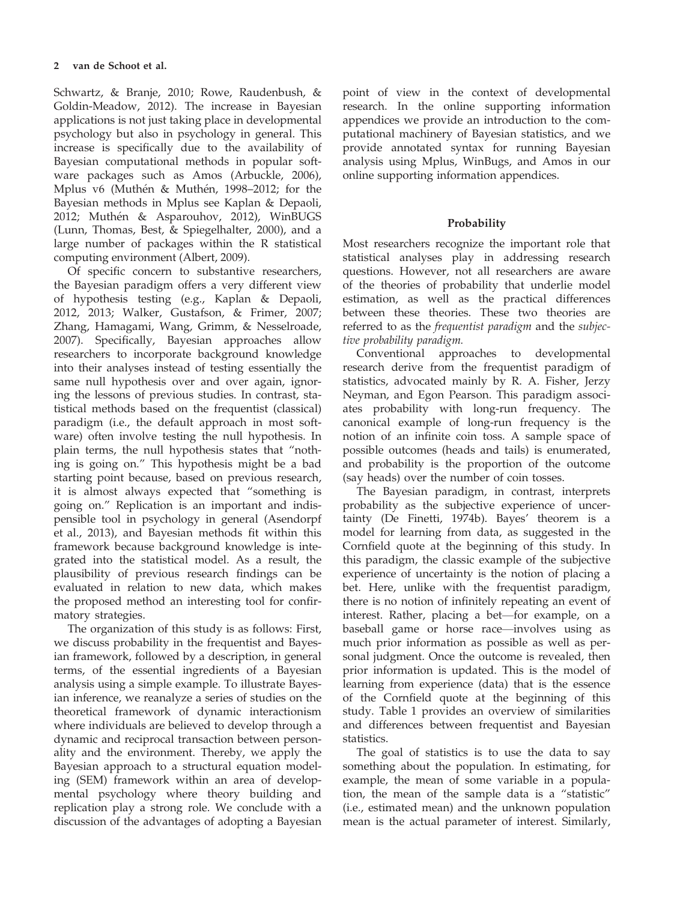Schwartz, & Branje, 2010; Rowe, Raudenbush, & Goldin-Meadow, 2012). The increase in Bayesian applications is not just taking place in developmental psychology but also in psychology in general. This increase is specifically due to the availability of Bayesian computational methods in popular software packages such as Amos (Arbuckle, 2006), Mplus v6 (Muthén & Muthén, 1998–2012; for the Bayesian methods in Mplus see Kaplan & Depaoli, 2012; Muthén & Asparouhov, 2012), WinBUGS (Lunn, Thomas, Best, & Spiegelhalter, 2000), and a large number of packages within the R statistical computing environment (Albert, 2009).

Of specific concern to substantive researchers, the Bayesian paradigm offers a very different view of hypothesis testing (e.g., Kaplan & Depaoli, 2012, 2013; Walker, Gustafson, & Frimer, 2007; Zhang, Hamagami, Wang, Grimm, & Nesselroade, 2007). Specifically, Bayesian approaches allow researchers to incorporate background knowledge into their analyses instead of testing essentially the same null hypothesis over and over again, ignoring the lessons of previous studies. In contrast, statistical methods based on the frequentist (classical) paradigm (i.e., the default approach in most software) often involve testing the null hypothesis. In plain terms, the null hypothesis states that "nothing is going on." This hypothesis might be a bad starting point because, based on previous research, it is almost always expected that "something is going on." Replication is an important and indispensible tool in psychology in general (Asendorpf et al., 2013), and Bayesian methods fit within this framework because background knowledge is integrated into the statistical model. As a result, the plausibility of previous research findings can be evaluated in relation to new data, which makes the proposed method an interesting tool for confirmatory strategies.

The organization of this study is as follows: First, we discuss probability in the frequentist and Bayesian framework, followed by a description, in general terms, of the essential ingredients of a Bayesian analysis using a simple example. To illustrate Bayesian inference, we reanalyze a series of studies on the theoretical framework of dynamic interactionism where individuals are believed to develop through a dynamic and reciprocal transaction between personality and the environment. Thereby, we apply the Bayesian approach to a structural equation modeling (SEM) framework within an area of developmental psychology where theory building and replication play a strong role. We conclude with a discussion of the advantages of adopting a Bayesian point of view in the context of developmental research. In the online supporting information appendices we provide an introduction to the computational machinery of Bayesian statistics, and we provide annotated syntax for running Bayesian analysis using Mplus, WinBugs, and Amos in our online supporting information appendices.

# Probability

Most researchers recognize the important role that statistical analyses play in addressing research questions. However, not all researchers are aware of the theories of probability that underlie model estimation, as well as the practical differences between these theories. These two theories are referred to as the frequentist paradigm and the subjective probability paradigm.

Conventional approaches to developmental research derive from the frequentist paradigm of statistics, advocated mainly by R. A. Fisher, Jerzy Neyman, and Egon Pearson. This paradigm associates probability with long-run frequency. The canonical example of long-run frequency is the notion of an infinite coin toss. A sample space of possible outcomes (heads and tails) is enumerated, and probability is the proportion of the outcome (say heads) over the number of coin tosses.

The Bayesian paradigm, in contrast, interprets probability as the subjective experience of uncertainty (De Finetti, 1974b). Bayes' theorem is a model for learning from data, as suggested in the Cornfield quote at the beginning of this study. In this paradigm, the classic example of the subjective experience of uncertainty is the notion of placing a bet. Here, unlike with the frequentist paradigm, there is no notion of infinitely repeating an event of interest. Rather, placing a bet—for example, on a baseball game or horse race—involves using as much prior information as possible as well as personal judgment. Once the outcome is revealed, then prior information is updated. This is the model of learning from experience (data) that is the essence of the Cornfield quote at the beginning of this study. Table 1 provides an overview of similarities and differences between frequentist and Bayesian statistics.

The goal of statistics is to use the data to say something about the population. In estimating, for example, the mean of some variable in a population, the mean of the sample data is a "statistic" (i.e., estimated mean) and the unknown population mean is the actual parameter of interest. Similarly,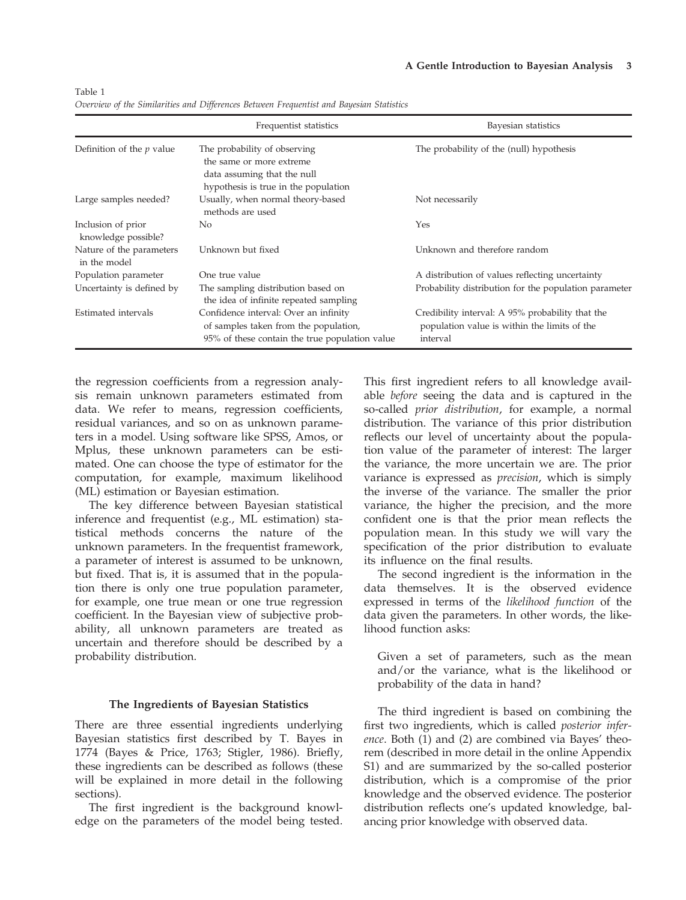|                                           | Frequentist statistics                                                                                                           | Bayesian statistics                                                                                          |
|-------------------------------------------|----------------------------------------------------------------------------------------------------------------------------------|--------------------------------------------------------------------------------------------------------------|
| Definition of the $p$ value               | The probability of observing<br>the same or more extreme<br>data assuming that the null<br>hypothesis is true in the population  | The probability of the (null) hypothesis                                                                     |
| Large samples needed?                     | Usually, when normal theory-based<br>methods are used                                                                            | Not necessarily                                                                                              |
| Inclusion of prior<br>knowledge possible? | N <sub>o</sub>                                                                                                                   | Yes                                                                                                          |
| Nature of the parameters<br>in the model  | Unknown but fixed                                                                                                                | Unknown and therefore random                                                                                 |
| Population parameter                      | One true value                                                                                                                   | A distribution of values reflecting uncertainty                                                              |
| Uncertainty is defined by                 | The sampling distribution based on<br>the idea of infinite repeated sampling                                                     | Probability distribution for the population parameter                                                        |
| Estimated intervals                       | Confidence interval: Over an infinity<br>of samples taken from the population,<br>95% of these contain the true population value | Credibility interval: A 95% probability that the<br>population value is within the limits of the<br>interval |

Table 1 Overview of the Similarities and Differences Between Frequentist and Bayesian Statistics

the regression coefficients from a regression analysis remain unknown parameters estimated from data. We refer to means, regression coefficients, residual variances, and so on as unknown parameters in a model. Using software like SPSS, Amos, or Mplus, these unknown parameters can be estimated. One can choose the type of estimator for the computation, for example, maximum likelihood (ML) estimation or Bayesian estimation.

The key difference between Bayesian statistical inference and frequentist (e.g., ML estimation) statistical methods concerns the nature of the unknown parameters. In the frequentist framework, a parameter of interest is assumed to be unknown, but fixed. That is, it is assumed that in the population there is only one true population parameter, for example, one true mean or one true regression coefficient. In the Bayesian view of subjective probability, all unknown parameters are treated as uncertain and therefore should be described by a probability distribution.

#### The Ingredients of Bayesian Statistics

There are three essential ingredients underlying Bayesian statistics first described by T. Bayes in 1774 (Bayes & Price, 1763; Stigler, 1986). Briefly, these ingredients can be described as follows (these will be explained in more detail in the following sections).

The first ingredient is the background knowledge on the parameters of the model being tested.

This first ingredient refers to all knowledge available before seeing the data and is captured in the so-called prior distribution, for example, a normal distribution. The variance of this prior distribution reflects our level of uncertainty about the population value of the parameter of interest: The larger the variance, the more uncertain we are. The prior variance is expressed as precision, which is simply the inverse of the variance. The smaller the prior variance, the higher the precision, and the more confident one is that the prior mean reflects the population mean. In this study we will vary the specification of the prior distribution to evaluate its influence on the final results.

The second ingredient is the information in the data themselves. It is the observed evidence expressed in terms of the likelihood function of the data given the parameters. In other words, the likelihood function asks:

Given a set of parameters, such as the mean and/or the variance, what is the likelihood or probability of the data in hand?

The third ingredient is based on combining the first two ingredients, which is called posterior inference. Both (1) and (2) are combined via Bayes' theorem (described in more detail in the online Appendix S1) and are summarized by the so-called posterior distribution, which is a compromise of the prior knowledge and the observed evidence. The posterior distribution reflects one's updated knowledge, balancing prior knowledge with observed data.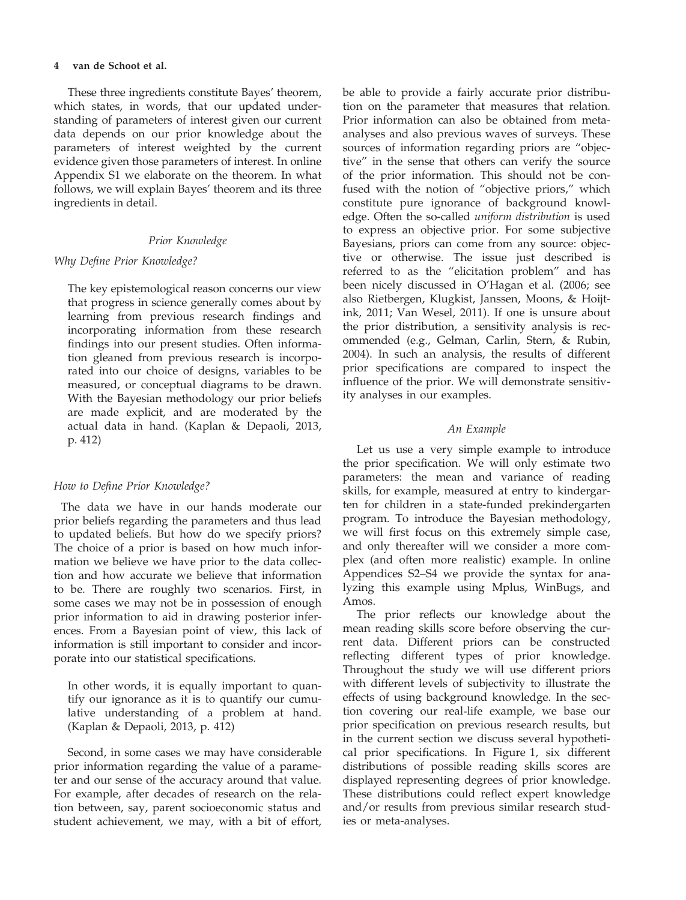#### van de Schoot et al.

These three ingredients constitute Bayes' theorem, which states, in words, that our updated understanding of parameters of interest given our current data depends on our prior knowledge about the parameters of interest weighted by the current evidence given those parameters of interest. In online Appendix S1 we elaborate on the theorem. In what follows, we will explain Bayes' theorem and its three ingredients in detail.

#### Prior Knowledge

#### Why Define Prior Knowledge?

The key epistemological reason concerns our view that progress in science generally comes about by learning from previous research findings and incorporating information from these research findings into our present studies. Often information gleaned from previous research is incorporated into our choice of designs, variables to be measured, or conceptual diagrams to be drawn. With the Bayesian methodology our prior beliefs are made explicit, and are moderated by the actual data in hand. (Kaplan & Depaoli, 2013, p. 412)

#### How to Define Prior Knowledge?

The data we have in our hands moderate our prior beliefs regarding the parameters and thus lead to updated beliefs. But how do we specify priors? The choice of a prior is based on how much information we believe we have prior to the data collection and how accurate we believe that information to be. There are roughly two scenarios. First, in some cases we may not be in possession of enough prior information to aid in drawing posterior inferences. From a Bayesian point of view, this lack of information is still important to consider and incorporate into our statistical specifications.

In other words, it is equally important to quantify our ignorance as it is to quantify our cumulative understanding of a problem at hand. (Kaplan & Depaoli, 2013, p. 412)

Second, in some cases we may have considerable prior information regarding the value of a parameter and our sense of the accuracy around that value. For example, after decades of research on the relation between, say, parent socioeconomic status and student achievement, we may, with a bit of effort, be able to provide a fairly accurate prior distribution on the parameter that measures that relation. Prior information can also be obtained from metaanalyses and also previous waves of surveys. These sources of information regarding priors are "objective" in the sense that others can verify the source of the prior information. This should not be confused with the notion of "objective priors," which constitute pure ignorance of background knowledge. Often the so-called uniform distribution is used to express an objective prior. For some subjective Bayesians, priors can come from any source: objective or otherwise. The issue just described is referred to as the "elicitation problem" and has been nicely discussed in O'Hagan et al. (2006; see also Rietbergen, Klugkist, Janssen, Moons, & Hoijtink, 2011; Van Wesel, 2011). If one is unsure about the prior distribution, a sensitivity analysis is recommended (e.g., Gelman, Carlin, Stern, & Rubin, 2004). In such an analysis, the results of different prior specifications are compared to inspect the influence of the prior. We will demonstrate sensitivity analyses in our examples.

#### An Example

Let us use a very simple example to introduce the prior specification. We will only estimate two parameters: the mean and variance of reading skills, for example, measured at entry to kindergarten for children in a state-funded prekindergarten program. To introduce the Bayesian methodology, we will first focus on this extremely simple case, and only thereafter will we consider a more complex (and often more realistic) example. In online Appendices S2–S4 we provide the syntax for analyzing this example using Mplus, WinBugs, and Amos.

The prior reflects our knowledge about the mean reading skills score before observing the current data. Different priors can be constructed reflecting different types of prior knowledge. Throughout the study we will use different priors with different levels of subjectivity to illustrate the effects of using background knowledge. In the section covering our real-life example, we base our prior specification on previous research results, but in the current section we discuss several hypothetical prior specifications. In Figure 1, six different distributions of possible reading skills scores are displayed representing degrees of prior knowledge. These distributions could reflect expert knowledge and/or results from previous similar research studies or meta-analyses.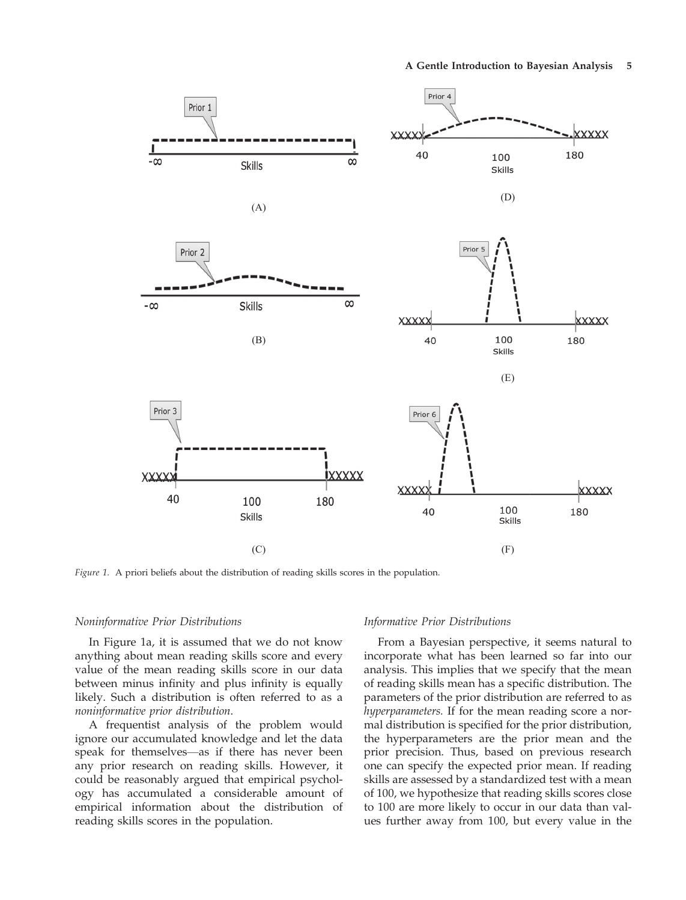

Figure 1. A priori beliefs about the distribution of reading skills scores in the population.

#### Noninformative Prior Distributions

In Figure 1a, it is assumed that we do not know anything about mean reading skills score and every value of the mean reading skills score in our data between minus infinity and plus infinity is equally likely. Such a distribution is often referred to as a noninformative prior distribution.

A frequentist analysis of the problem would ignore our accumulated knowledge and let the data speak for themselves—as if there has never been any prior research on reading skills. However, it could be reasonably argued that empirical psychology has accumulated a considerable amount of empirical information about the distribution of reading skills scores in the population.

#### Informative Prior Distributions

From a Bayesian perspective, it seems natural to incorporate what has been learned so far into our analysis. This implies that we specify that the mean of reading skills mean has a specific distribution. The parameters of the prior distribution are referred to as hyperparameters. If for the mean reading score a normal distribution is specified for the prior distribution, the hyperparameters are the prior mean and the prior precision. Thus, based on previous research one can specify the expected prior mean. If reading skills are assessed by a standardized test with a mean of 100, we hypothesize that reading skills scores close to 100 are more likely to occur in our data than values further away from 100, but every value in the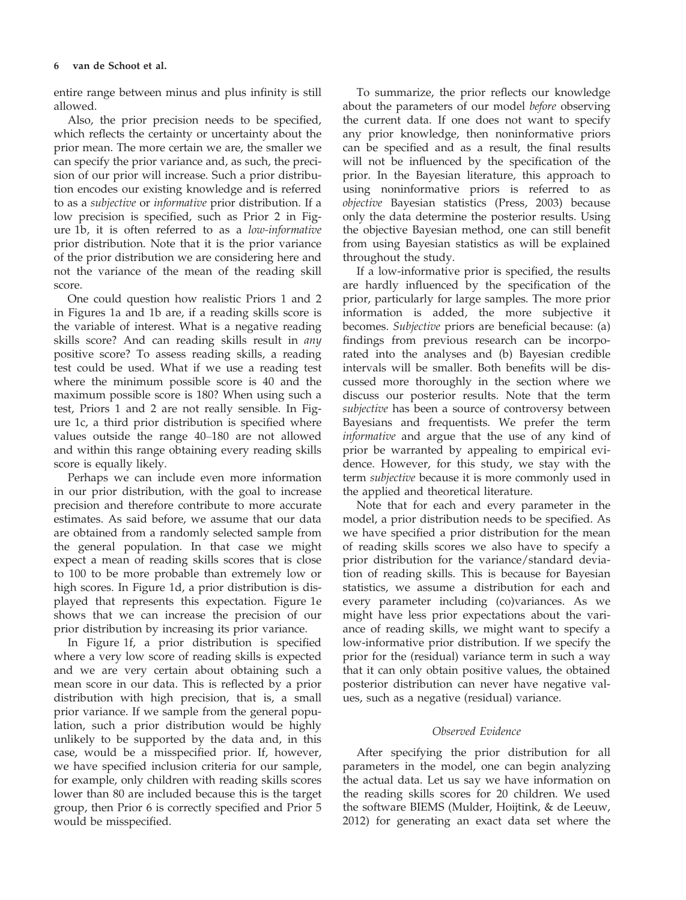entire range between minus and plus infinity is still allowed.

Also, the prior precision needs to be specified, which reflects the certainty or uncertainty about the prior mean. The more certain we are, the smaller we can specify the prior variance and, as such, the precision of our prior will increase. Such a prior distribution encodes our existing knowledge and is referred to as a subjective or informative prior distribution. If a low precision is specified, such as Prior 2 in Figure 1b, it is often referred to as a low-informative prior distribution. Note that it is the prior variance of the prior distribution we are considering here and not the variance of the mean of the reading skill score.

One could question how realistic Priors 1 and 2 in Figures 1a and 1b are, if a reading skills score is the variable of interest. What is a negative reading skills score? And can reading skills result in any positive score? To assess reading skills, a reading test could be used. What if we use a reading test where the minimum possible score is 40 and the maximum possible score is 180? When using such a test, Priors 1 and 2 are not really sensible. In Figure 1c, a third prior distribution is specified where values outside the range 40–180 are not allowed and within this range obtaining every reading skills score is equally likely.

Perhaps we can include even more information in our prior distribution, with the goal to increase precision and therefore contribute to more accurate estimates. As said before, we assume that our data are obtained from a randomly selected sample from the general population. In that case we might expect a mean of reading skills scores that is close to 100 to be more probable than extremely low or high scores. In Figure 1d, a prior distribution is displayed that represents this expectation. Figure 1e shows that we can increase the precision of our prior distribution by increasing its prior variance.

In Figure 1f, a prior distribution is specified where a very low score of reading skills is expected and we are very certain about obtaining such a mean score in our data. This is reflected by a prior distribution with high precision, that is, a small prior variance. If we sample from the general population, such a prior distribution would be highly unlikely to be supported by the data and, in this case, would be a misspecified prior. If, however, we have specified inclusion criteria for our sample, for example, only children with reading skills scores lower than 80 are included because this is the target group, then Prior 6 is correctly specified and Prior 5 would be misspecified.

To summarize, the prior reflects our knowledge about the parameters of our model before observing the current data. If one does not want to specify any prior knowledge, then noninformative priors can be specified and as a result, the final results will not be influenced by the specification of the prior. In the Bayesian literature, this approach to using noninformative priors is referred to as objective Bayesian statistics (Press, 2003) because only the data determine the posterior results. Using the objective Bayesian method, one can still benefit from using Bayesian statistics as will be explained throughout the study.

If a low-informative prior is specified, the results are hardly influenced by the specification of the prior, particularly for large samples. The more prior information is added, the more subjective it becomes. Subjective priors are beneficial because: (a) findings from previous research can be incorporated into the analyses and (b) Bayesian credible intervals will be smaller. Both benefits will be discussed more thoroughly in the section where we discuss our posterior results. Note that the term subjective has been a source of controversy between Bayesians and frequentists. We prefer the term informative and argue that the use of any kind of prior be warranted by appealing to empirical evidence. However, for this study, we stay with the term subjective because it is more commonly used in the applied and theoretical literature.

Note that for each and every parameter in the model, a prior distribution needs to be specified. As we have specified a prior distribution for the mean of reading skills scores we also have to specify a prior distribution for the variance/standard deviation of reading skills. This is because for Bayesian statistics, we assume a distribution for each and every parameter including (co)variances. As we might have less prior expectations about the variance of reading skills, we might want to specify a low-informative prior distribution. If we specify the prior for the (residual) variance term in such a way that it can only obtain positive values, the obtained posterior distribution can never have negative values, such as a negative (residual) variance.

### Observed Evidence

After specifying the prior distribution for all parameters in the model, one can begin analyzing the actual data. Let us say we have information on the reading skills scores for 20 children. We used the software BIEMS (Mulder, Hoijtink, & de Leeuw, 2012) for generating an exact data set where the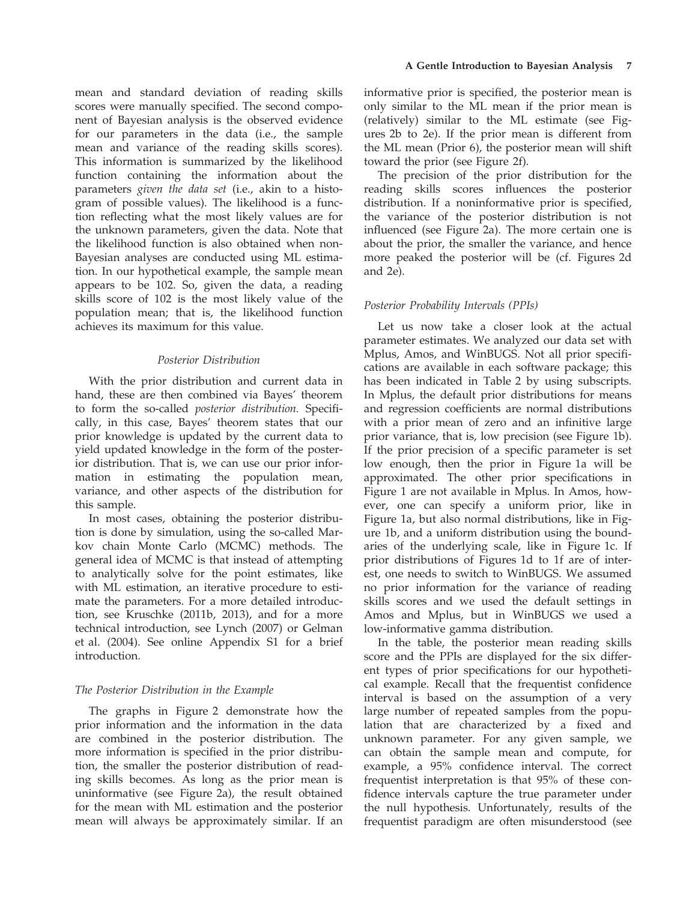mean and standard deviation of reading skills scores were manually specified. The second component of Bayesian analysis is the observed evidence for our parameters in the data (i.e., the sample mean and variance of the reading skills scores). This information is summarized by the likelihood function containing the information about the parameters given the data set (i.e., akin to a histogram of possible values). The likelihood is a function reflecting what the most likely values are for the unknown parameters, given the data. Note that the likelihood function is also obtained when non-Bayesian analyses are conducted using ML estimation. In our hypothetical example, the sample mean appears to be 102. So, given the data, a reading skills score of 102 is the most likely value of the population mean; that is, the likelihood function achieves its maximum for this value.

### Posterior Distribution

With the prior distribution and current data in hand, these are then combined via Bayes' theorem to form the so-called posterior distribution. Specifically, in this case, Bayes' theorem states that our prior knowledge is updated by the current data to yield updated knowledge in the form of the posterior distribution. That is, we can use our prior information in estimating the population mean, variance, and other aspects of the distribution for this sample.

In most cases, obtaining the posterior distribution is done by simulation, using the so-called Markov chain Monte Carlo (MCMC) methods. The general idea of MCMC is that instead of attempting to analytically solve for the point estimates, like with ML estimation, an iterative procedure to estimate the parameters. For a more detailed introduction, see Kruschke (2011b, 2013), and for a more technical introduction, see Lynch (2007) or Gelman et al. (2004). See online Appendix S1 for a brief introduction.

### The Posterior Distribution in the Example

The graphs in Figure 2 demonstrate how the prior information and the information in the data are combined in the posterior distribution. The more information is specified in the prior distribution, the smaller the posterior distribution of reading skills becomes. As long as the prior mean is uninformative (see Figure 2a), the result obtained for the mean with ML estimation and the posterior mean will always be approximately similar. If an

informative prior is specified, the posterior mean is only similar to the ML mean if the prior mean is (relatively) similar to the ML estimate (see Figures 2b to 2e). If the prior mean is different from the ML mean (Prior 6), the posterior mean will shift toward the prior (see Figure 2f).

The precision of the prior distribution for the reading skills scores influences the posterior distribution. If a noninformative prior is specified, the variance of the posterior distribution is not influenced (see Figure 2a). The more certain one is about the prior, the smaller the variance, and hence more peaked the posterior will be (cf. Figures 2d and 2e).

# Posterior Probability Intervals (PPIs)

Let us now take a closer look at the actual parameter estimates. We analyzed our data set with Mplus, Amos, and WinBUGS. Not all prior specifications are available in each software package; this has been indicated in Table 2 by using subscripts. In Mplus, the default prior distributions for means and regression coefficients are normal distributions with a prior mean of zero and an infinitive large prior variance, that is, low precision (see Figure 1b). If the prior precision of a specific parameter is set low enough, then the prior in Figure 1a will be approximated. The other prior specifications in Figure 1 are not available in Mplus. In Amos, however, one can specify a uniform prior, like in Figure 1a, but also normal distributions, like in Figure 1b, and a uniform distribution using the boundaries of the underlying scale, like in Figure 1c. If prior distributions of Figures 1d to 1f are of interest, one needs to switch to WinBUGS. We assumed no prior information for the variance of reading skills scores and we used the default settings in Amos and Mplus, but in WinBUGS we used a low-informative gamma distribution.

In the table, the posterior mean reading skills score and the PPIs are displayed for the six different types of prior specifications for our hypothetical example. Recall that the frequentist confidence interval is based on the assumption of a very large number of repeated samples from the population that are characterized by a fixed and unknown parameter. For any given sample, we can obtain the sample mean and compute, for example, a 95% confidence interval. The correct frequentist interpretation is that 95% of these confidence intervals capture the true parameter under the null hypothesis. Unfortunately, results of the frequentist paradigm are often misunderstood (see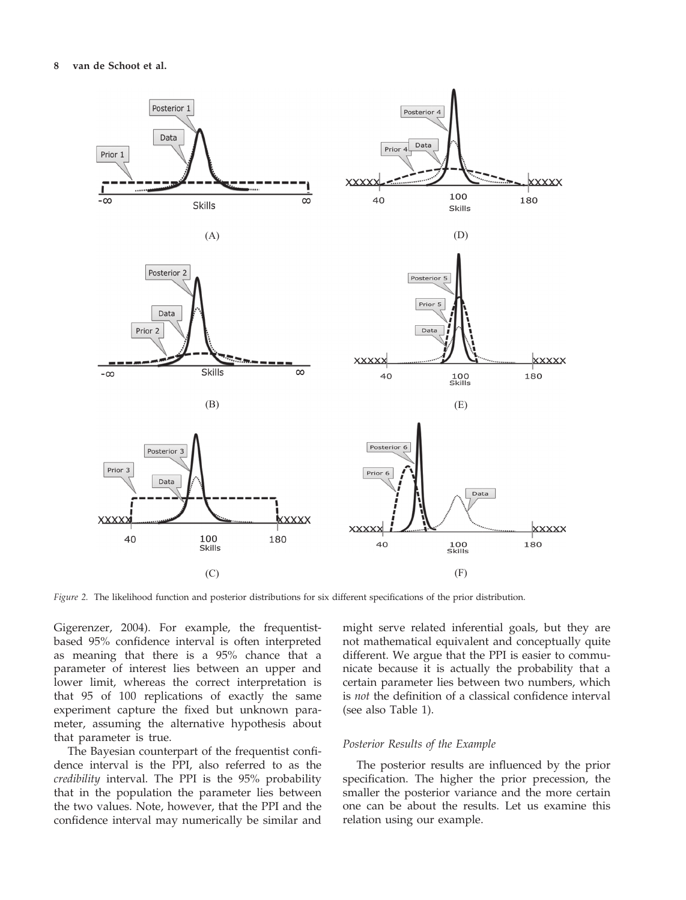

Figure 2. The likelihood function and posterior distributions for six different specifications of the prior distribution.

Gigerenzer, 2004). For example, the frequentistbased 95% confidence interval is often interpreted as meaning that there is a 95% chance that a parameter of interest lies between an upper and lower limit, whereas the correct interpretation is that 95 of 100 replications of exactly the same experiment capture the fixed but unknown parameter, assuming the alternative hypothesis about that parameter is true.

The Bayesian counterpart of the frequentist confidence interval is the PPI, also referred to as the credibility interval. The PPI is the 95% probability that in the population the parameter lies between the two values. Note, however, that the PPI and the confidence interval may numerically be similar and

might serve related inferential goals, but they are not mathematical equivalent and conceptually quite different. We argue that the PPI is easier to communicate because it is actually the probability that a certain parameter lies between two numbers, which is not the definition of a classical confidence interval (see also Table 1).

#### Posterior Results of the Example

The posterior results are influenced by the prior specification. The higher the prior precession, the smaller the posterior variance and the more certain one can be about the results. Let us examine this relation using our example.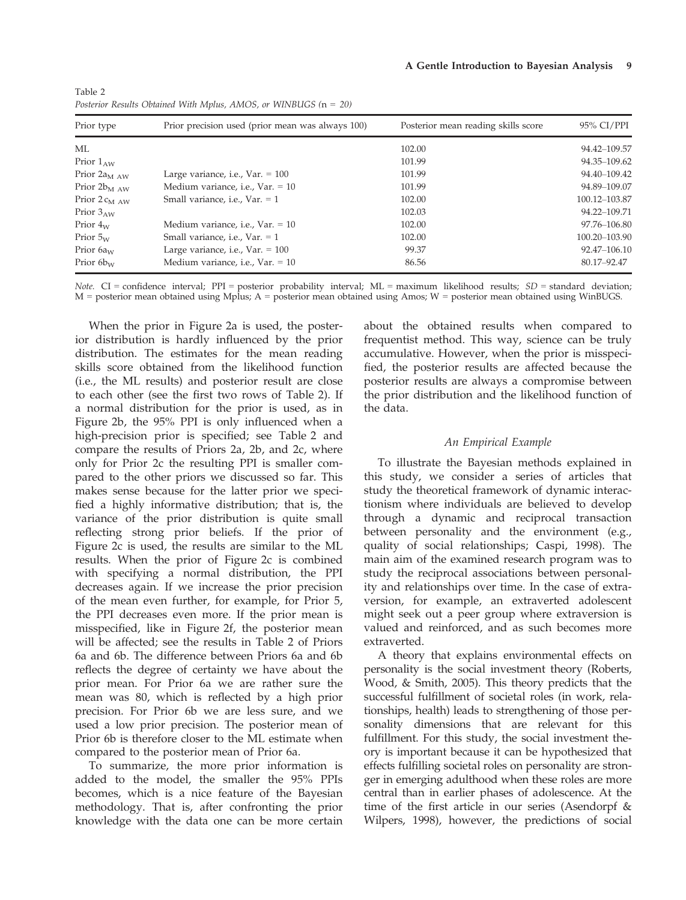| Prior type            | Prior precision used (prior mean was always 100) | Posterior mean reading skills score | 95% CI/PPI    |
|-----------------------|--------------------------------------------------|-------------------------------------|---------------|
| МL                    |                                                  | 102.00                              | 94.42-109.57  |
| Prior $1_{AW}$        |                                                  | 101.99                              | 94.35-109.62  |
| Prior $2a_{MAW}$      | Large variance, i.e., $Var = 100$                | 101.99                              | 94.40-109.42  |
| Prior $2b_{MAM}$      | Medium variance, i.e., Var. $= 10$               | 101.99                              | 94.89-109.07  |
| Prior $2c_{MAW}$      | Small variance, i.e., Var. $= 1$                 | 102.00                              | 100.12-103.87 |
| Prior $3_{AW}$        |                                                  | 102.03                              | 94.22-109.71  |
| Prior $4W$            | Medium variance, i.e., Var. $= 10$               | 102.00                              | 97.76-106.80  |
| Prior $5W$            | Small variance, i.e., $Var = 1$                  | 102.00                              | 100.20-103.90 |
| Prior 6a <sub>W</sub> | Large variance, i.e., Var. $= 100$               | 99.37                               | 92.47-106.10  |
| Prior $6b_W$          | Medium variance, i.e., Var. = 10                 | 86.56                               | 80.17-92.47   |

Table 2 Posterior Results Obtained With Mplus, AMOS, or WINBUGS (n = 20)

Note.  $CI =$  confidence interval;  $PPI =$  posterior probability interval;  $ML =$  maximum likelihood results;  $SD =$  standard deviation; M = posterior mean obtained using Mplus; A = posterior mean obtained using Amos; W = posterior mean obtained using WinBUGS.

When the prior in Figure 2a is used, the posterior distribution is hardly influenced by the prior distribution. The estimates for the mean reading skills score obtained from the likelihood function (i.e., the ML results) and posterior result are close to each other (see the first two rows of Table 2). If a normal distribution for the prior is used, as in Figure 2b, the 95% PPI is only influenced when a high-precision prior is specified; see Table 2 and compare the results of Priors 2a, 2b, and 2c, where only for Prior 2c the resulting PPI is smaller compared to the other priors we discussed so far. This makes sense because for the latter prior we specified a highly informative distribution; that is, the variance of the prior distribution is quite small reflecting strong prior beliefs. If the prior of Figure 2c is used, the results are similar to the ML results. When the prior of Figure 2c is combined with specifying a normal distribution, the PPI decreases again. If we increase the prior precision of the mean even further, for example, for Prior 5, the PPI decreases even more. If the prior mean is misspecified, like in Figure 2f, the posterior mean will be affected; see the results in Table 2 of Priors 6a and 6b. The difference between Priors 6a and 6b reflects the degree of certainty we have about the prior mean. For Prior 6a we are rather sure the mean was 80, which is reflected by a high prior precision. For Prior 6b we are less sure, and we used a low prior precision. The posterior mean of Prior 6b is therefore closer to the ML estimate when compared to the posterior mean of Prior 6a.

To summarize, the more prior information is added to the model, the smaller the 95% PPIs becomes, which is a nice feature of the Bayesian methodology. That is, after confronting the prior knowledge with the data one can be more certain

about the obtained results when compared to frequentist method. This way, science can be truly accumulative. However, when the prior is misspecified, the posterior results are affected because the posterior results are always a compromise between the prior distribution and the likelihood function of the data.

# An Empirical Example

To illustrate the Bayesian methods explained in this study, we consider a series of articles that study the theoretical framework of dynamic interactionism where individuals are believed to develop through a dynamic and reciprocal transaction between personality and the environment (e.g., quality of social relationships; Caspi, 1998). The main aim of the examined research program was to study the reciprocal associations between personality and relationships over time. In the case of extraversion, for example, an extraverted adolescent might seek out a peer group where extraversion is valued and reinforced, and as such becomes more extraverted.

A theory that explains environmental effects on personality is the social investment theory (Roberts, Wood, & Smith, 2005). This theory predicts that the successful fulfillment of societal roles (in work, relationships, health) leads to strengthening of those personality dimensions that are relevant for this fulfillment. For this study, the social investment theory is important because it can be hypothesized that effects fulfilling societal roles on personality are stronger in emerging adulthood when these roles are more central than in earlier phases of adolescence. At the time of the first article in our series (Asendorpf & Wilpers, 1998), however, the predictions of social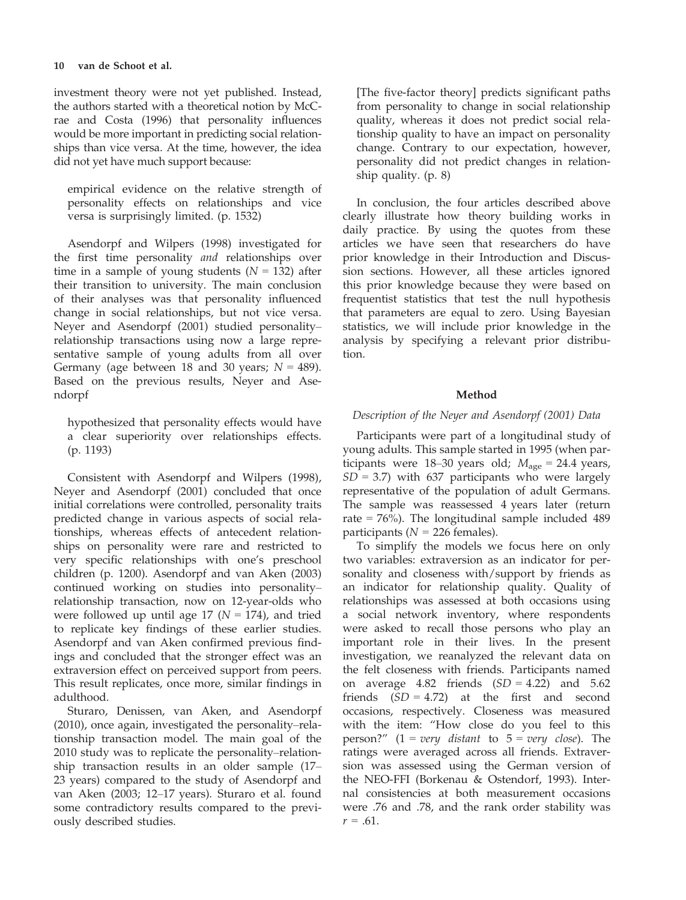investment theory were not yet published. Instead, the authors started with a theoretical notion by McCrae and Costa (1996) that personality influences would be more important in predicting social relationships than vice versa. At the time, however, the idea did not yet have much support because:

empirical evidence on the relative strength of personality effects on relationships and vice versa is surprisingly limited. (p. 1532)

Asendorpf and Wilpers (1998) investigated for the first time personality and relationships over time in a sample of young students  $(N = 132)$  after their transition to university. The main conclusion of their analyses was that personality influenced change in social relationships, but not vice versa. Neyer and Asendorpf (2001) studied personality– relationship transactions using now a large representative sample of young adults from all over Germany (age between 18 and 30 years;  $N = 489$ ). Based on the previous results, Neyer and Asendorpf

hypothesized that personality effects would have a clear superiority over relationships effects. (p. 1193)

Consistent with Asendorpf and Wilpers (1998), Neyer and Asendorpf (2001) concluded that once initial correlations were controlled, personality traits predicted change in various aspects of social relationships, whereas effects of antecedent relationships on personality were rare and restricted to very specific relationships with one's preschool children (p. 1200). Asendorpf and van Aken (2003) continued working on studies into personality– relationship transaction, now on 12-year-olds who were followed up until age 17 ( $N = 174$ ), and tried to replicate key findings of these earlier studies. Asendorpf and van Aken confirmed previous findings and concluded that the stronger effect was an extraversion effect on perceived support from peers. This result replicates, once more, similar findings in adulthood.

Sturaro, Denissen, van Aken, and Asendorpf (2010), once again, investigated the personality–relationship transaction model. The main goal of the 2010 study was to replicate the personality–relationship transaction results in an older sample (17– 23 years) compared to the study of Asendorpf and van Aken (2003; 12–17 years). Sturaro et al. found some contradictory results compared to the previously described studies.

[The five-factor theory] predicts significant paths from personality to change in social relationship quality, whereas it does not predict social relationship quality to have an impact on personality change. Contrary to our expectation, however, personality did not predict changes in relationship quality. (p. 8)

In conclusion, the four articles described above clearly illustrate how theory building works in daily practice. By using the quotes from these articles we have seen that researchers do have prior knowledge in their Introduction and Discussion sections. However, all these articles ignored this prior knowledge because they were based on frequentist statistics that test the null hypothesis that parameters are equal to zero. Using Bayesian statistics, we will include prior knowledge in the analysis by specifying a relevant prior distribution.

# Method

# Description of the Neyer and Asendorpf (2001) Data

Participants were part of a longitudinal study of young adults. This sample started in 1995 (when participants were 18–30 years old;  $M_{\text{age}} = 24.4$  years,  $SD = 3.7$ ) with 637 participants who were largely representative of the population of adult Germans. The sample was reassessed 4 years later (return rate = 76%). The longitudinal sample included 489 participants ( $N = 226$  females).

To simplify the models we focus here on only two variables: extraversion as an indicator for personality and closeness with/support by friends as an indicator for relationship quality. Quality of relationships was assessed at both occasions using a social network inventory, where respondents were asked to recall those persons who play an important role in their lives. In the present investigation, we reanalyzed the relevant data on the felt closeness with friends. Participants named on average 4.82 friends  $(SD = 4.22)$  and 5.62 friends  $(SD = 4.72)$  at the first and second occasions, respectively. Closeness was measured with the item: "How close do you feel to this person?"  $(1 = v$ ery distant to  $5 = v$ ery close). The ratings were averaged across all friends. Extraversion was assessed using the German version of the NEO-FFI (Borkenau & Ostendorf, 1993). Internal consistencies at both measurement occasions were .76 and .78, and the rank order stability was  $r = .61$ .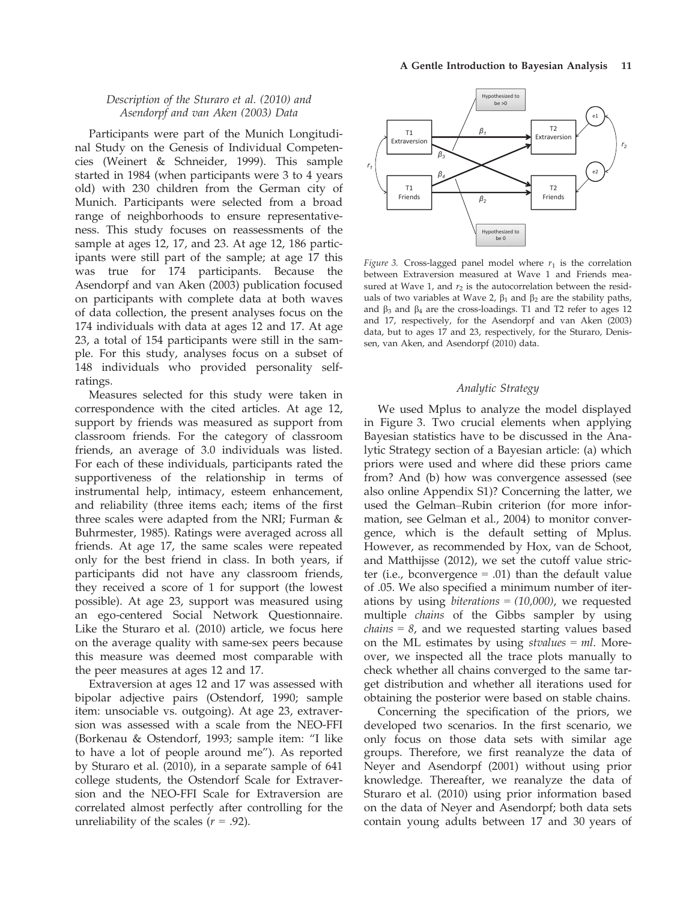# Description of the Sturaro et al. (2010) and Asendorpf and van Aken (2003) Data

Participants were part of the Munich Longitudinal Study on the Genesis of Individual Competencies (Weinert & Schneider, 1999). This sample started in 1984 (when participants were 3 to 4 years old) with 230 children from the German city of Munich. Participants were selected from a broad range of neighborhoods to ensure representativeness. This study focuses on reassessments of the sample at ages 12, 17, and 23. At age 12, 186 participants were still part of the sample; at age 17 this was true for 174 participants. Because the Asendorpf and van Aken (2003) publication focused on participants with complete data at both waves of data collection, the present analyses focus on the 174 individuals with data at ages 12 and 17. At age 23, a total of 154 participants were still in the sample. For this study, analyses focus on a subset of 148 individuals who provided personality selfratings.

Measures selected for this study were taken in correspondence with the cited articles. At age 12, support by friends was measured as support from classroom friends. For the category of classroom friends, an average of 3.0 individuals was listed. For each of these individuals, participants rated the supportiveness of the relationship in terms of instrumental help, intimacy, esteem enhancement, and reliability (three items each; items of the first three scales were adapted from the NRI; Furman & Buhrmester, 1985). Ratings were averaged across all friends. At age 17, the same scales were repeated only for the best friend in class. In both years, if participants did not have any classroom friends, they received a score of 1 for support (the lowest possible). At age 23, support was measured using an ego-centered Social Network Questionnaire. Like the Sturaro et al. (2010) article, we focus here on the average quality with same-sex peers because this measure was deemed most comparable with the peer measures at ages 12 and 17.

Extraversion at ages 12 and 17 was assessed with bipolar adjective pairs (Ostendorf, 1990; sample item: unsociable vs. outgoing). At age 23, extraversion was assessed with a scale from the NEO-FFI (Borkenau & Ostendorf, 1993; sample item: "I like to have a lot of people around me"). As reported by Sturaro et al. (2010), in a separate sample of 641 college students, the Ostendorf Scale for Extraversion and the NEO-FFI Scale for Extraversion are correlated almost perfectly after controlling for the unreliability of the scales  $(r = .92)$ .



Figure 3. Cross-lagged panel model where  $r_1$  is the correlation between Extraversion measured at Wave 1 and Friends measured at Wave 1, and  $r_2$  is the autocorrelation between the residuals of two variables at Wave 2,  $\beta_1$  and  $\beta_2$  are the stability paths, and  $\beta_3$  and  $\beta_4$  are the cross-loadings. T1 and T2 refer to ages 12 and 17, respectively, for the Asendorpf and van Aken (2003) data, but to ages 17 and 23, respectively, for the Sturaro, Denissen, van Aken, and Asendorpf (2010) data.

#### Analytic Strategy

We used Mplus to analyze the model displayed in Figure 3. Two crucial elements when applying Bayesian statistics have to be discussed in the Analytic Strategy section of a Bayesian article: (a) which priors were used and where did these priors came from? And (b) how was convergence assessed (see also online Appendix S1)? Concerning the latter, we used the Gelman–Rubin criterion (for more information, see Gelman et al., 2004) to monitor convergence, which is the default setting of Mplus. However, as recommended by Hox, van de Schoot, and Matthijsse (2012), we set the cutoff value stricter (i.e., bconvergence  $= .01$ ) than the default value of .05. We also specified a minimum number of iterations by using *biterations* =  $(10,000)$ , we requested multiple chains of the Gibbs sampler by using *chains*  $= 8$ , and we requested starting values based on the ML estimates by using  $stvalues = ml$ . Moreover, we inspected all the trace plots manually to check whether all chains converged to the same target distribution and whether all iterations used for obtaining the posterior were based on stable chains.

Concerning the specification of the priors, we developed two scenarios. In the first scenario, we only focus on those data sets with similar age groups. Therefore, we first reanalyze the data of Neyer and Asendorpf (2001) without using prior knowledge. Thereafter, we reanalyze the data of Sturaro et al. (2010) using prior information based on the data of Neyer and Asendorpf; both data sets contain young adults between 17 and 30 years of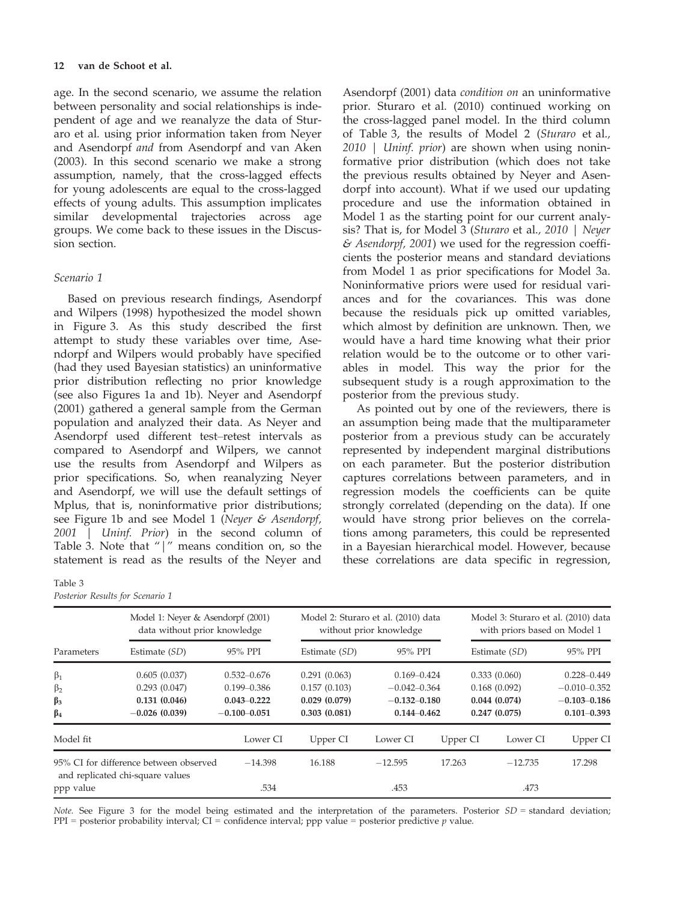#### 12 van de Schoot et al.

age. In the second scenario, we assume the relation between personality and social relationships is independent of age and we reanalyze the data of Sturaro et al. using prior information taken from Neyer and Asendorpf and from Asendorpf and van Aken (2003). In this second scenario we make a strong assumption, namely, that the cross-lagged effects for young adolescents are equal to the cross-lagged effects of young adults. This assumption implicates similar developmental trajectories across age groups. We come back to these issues in the Discussion section.

#### Scenario 1

Based on previous research findings, Asendorpf and Wilpers (1998) hypothesized the model shown in Figure 3. As this study described the first attempt to study these variables over time, Asendorpf and Wilpers would probably have specified (had they used Bayesian statistics) an uninformative prior distribution reflecting no prior knowledge (see also Figures 1a and 1b). Neyer and Asendorpf (2001) gathered a general sample from the German population and analyzed their data. As Neyer and Asendorpf used different test–retest intervals as compared to Asendorpf and Wilpers, we cannot use the results from Asendorpf and Wilpers as prior specifications. So, when reanalyzing Neyer and Asendorpf, we will use the default settings of Mplus, that is, noninformative prior distributions; see Figure 1b and see Model 1 (Neyer & Asendorpf, 2001 | Uninf. Prior) in the second column of Table 3. Note that "|" means condition on, so the statement is read as the results of the Neyer and

Table 3

| Posterior Results for Scenario 1 |  |  |
|----------------------------------|--|--|
|----------------------------------|--|--|

Asendorpf (2001) data condition on an uninformative prior. Sturaro et al. (2010) continued working on the cross-lagged panel model. In the third column of Table 3, the results of Model 2 (Sturaro et al., 2010 | Uninf. prior) are shown when using noninformative prior distribution (which does not take the previous results obtained by Neyer and Asendorpf into account). What if we used our updating procedure and use the information obtained in Model 1 as the starting point for our current analysis? That is, for Model 3 (Sturaro et al., 2010 | Neyer  $& A$ sendorpf, 2001) we used for the regression coefficients the posterior means and standard deviations from Model 1 as prior specifications for Model 3a. Noninformative priors were used for residual variances and for the covariances. This was done because the residuals pick up omitted variables, which almost by definition are unknown. Then, we would have a hard time knowing what their prior relation would be to the outcome or to other variables in model. This way the prior for the subsequent study is a rough approximation to the posterior from the previous study.

As pointed out by one of the reviewers, there is an assumption being made that the multiparameter posterior from a previous study can be accurately represented by independent marginal distributions on each parameter. But the posterior distribution captures correlations between parameters, and in regression models the coefficients can be quite strongly correlated (depending on the data). If one would have strong prior believes on the correlations among parameters, this could be represented in a Bayesian hierarchical model. However, because these correlations are data specific in regression,

|                                                                                         | Model 1: Neyer & Asendorpf (2001)<br>data without prior knowledge |                  | Model 2: Sturaro et al. (2010) data<br>without prior knowledge |                  | Model 3: Sturaro et al. (2010) data<br>with priors based on Model 1 |               |                  |
|-----------------------------------------------------------------------------------------|-------------------------------------------------------------------|------------------|----------------------------------------------------------------|------------------|---------------------------------------------------------------------|---------------|------------------|
| Parameters                                                                              | Estimate (SD)                                                     | 95% PPI          | Estimate (SD)                                                  | 95% PPI          |                                                                     | Estimate (SD) | 95% PPI          |
| $\beta_1$                                                                               | 0.605(0.037)                                                      | $0.532 - 0.676$  | 0.291(0.063)                                                   | $0.169 - 0.424$  |                                                                     | 0.333(0.060)  | $0.228 - 0.449$  |
| $\beta_2$                                                                               | 0.293(0.047)                                                      | $0.199 - 0.386$  | 0.157(0.103)                                                   | $-0.042 - 0.364$ |                                                                     | 0.168(0.092)  | $-0.010 - 0.352$ |
| $\beta_3$                                                                               | 0.131(0.046)                                                      | $0.043 - 0.222$  | 0.029(0.079)                                                   | $-0.132 - 0.180$ |                                                                     | 0.044(0.074)  | $-0.103 - 0.186$ |
| $\beta_4$                                                                               | $-0.026(0.039)$                                                   | $-0.100 - 0.051$ | 0.303(0.081)                                                   | $0.144 - 0.462$  |                                                                     | 0.247(0.075)  | $0.101 - 0.393$  |
| Model fit                                                                               |                                                                   | Lower CI         | Upper CI                                                       | Lower CI         | Upper CI                                                            | Lower CI      | Upper CI         |
| 95% CI for difference between observed<br>and replicated chi-square values<br>ppp value |                                                                   | $-14.398$        | 16.188                                                         | $-12.595$        | 17.263                                                              | $-12.735$     | 17.298           |
|                                                                                         |                                                                   | .534             |                                                                | .453             |                                                                     | .473          |                  |

Note. See Figure 3 for the model being estimated and the interpretation of the parameters. Posterior  $SD =$  standard deviation;  $PPI =$  posterior probability interval;  $CI =$  confidence interval; ppp value = posterior predictive p value.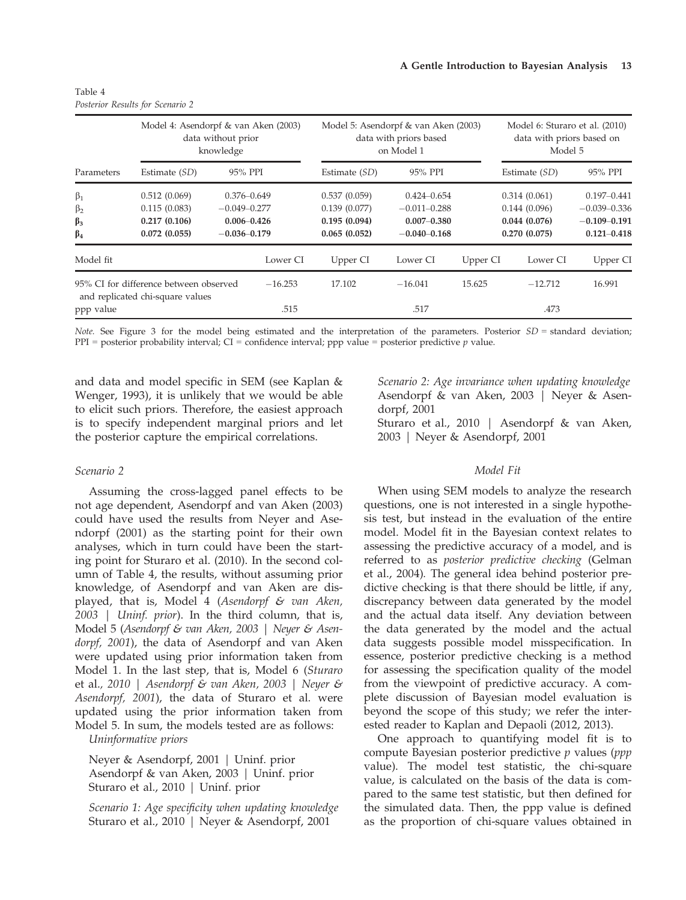|                                                  | Model 4: Asendorpf & van Aken (2003)<br>data without prior<br>knowledge    |                                                                            |           | Model 5: Asendorpf & van Aken (2003)<br>data with priors based<br>on Model 1 |                                                                            |          | Model 6: Sturaro et al. (2010)<br>data with priors based on<br>Model 5 |                                                                            |  |
|--------------------------------------------------|----------------------------------------------------------------------------|----------------------------------------------------------------------------|-----------|------------------------------------------------------------------------------|----------------------------------------------------------------------------|----------|------------------------------------------------------------------------|----------------------------------------------------------------------------|--|
| Parameters                                       | Estimate (SD)                                                              | 95% PPI                                                                    |           | Estimate (SD)                                                                | 95% PPI                                                                    |          | Estimate (SD)                                                          | 95% PPI                                                                    |  |
| $\beta_1$<br>$\beta_2$<br>$\beta_3$<br>$\beta_4$ | 0.512(0.069)<br>0.115(0.083)<br>0.217(0.106)<br>0.072(0.055)               | $0.376 - 0.649$<br>$-0.049 - 0.277$<br>$0.006 - 0.426$<br>$-0.036 - 0.179$ |           | 0.537(0.059)<br>0.139(0.077)<br>0.195(0.094)<br>0.065(0.052)                 | $0.424 - 0.654$<br>$-0.011 - 0.288$<br>$0.007 - 0.380$<br>$-0.040 - 0.168$ |          | 0.314(0.061)<br>0.144(0.096)<br>0.044(0.076)<br>0.270(0.075)           | $0.197 - 0.441$<br>$-0.039 - 0.336$<br>$-0.109 - 0.191$<br>$0.121 - 0.418$ |  |
| Model fit                                        |                                                                            |                                                                            | Lower CI  | Upper CI                                                                     | Lower CI                                                                   | Upper CI | Lower CI                                                               | Upper CI                                                                   |  |
|                                                  | 95% CI for difference between observed<br>and replicated chi-square values |                                                                            | $-16.253$ | 17.102                                                                       | $-16.041$                                                                  | 15.625   | $-12.712$                                                              | 16.991                                                                     |  |
| ppp value                                        |                                                                            |                                                                            | .515      |                                                                              | .517                                                                       |          | .473                                                                   |                                                                            |  |

Table 4 Posterior Results for Scenario 2

Note. See Figure 3 for the model being estimated and the interpretation of the parameters. Posterior  $SD =$  standard deviation;  $PPI =$  posterior probability interval;  $CI =$  confidence interval; ppp value = posterior predictive p value.

and data and model specific in SEM (see Kaplan & Wenger, 1993), it is unlikely that we would be able to elicit such priors. Therefore, the easiest approach is to specify independent marginal priors and let the posterior capture the empirical correlations.

### Scenario 2

Assuming the cross-lagged panel effects to be not age dependent, Asendorpf and van Aken (2003) could have used the results from Neyer and Asendorpf (2001) as the starting point for their own analyses, which in turn could have been the starting point for Sturaro et al. (2010). In the second column of Table 4, the results, without assuming prior knowledge, of Asendorpf and van Aken are displayed, that is, Model 4 (Asendorpf  $\varepsilon$  van Aken, 2003 | Uninf. prior). In the third column, that is, Model 5 (Asendorpf & van Aken, 2003 | Neyer & Asendorpf, 2001), the data of Asendorpf and van Aken were updated using prior information taken from Model 1. In the last step, that is, Model 6 (Sturaro et al., 2010 | Asendorpf & van Aken, 2003 | Neyer & Asendorpf, 2001), the data of Sturaro et al. were updated using the prior information taken from Model 5. In sum, the models tested are as follows:

Uninformative priors

Neyer & Asendorpf, 2001 | Uninf. prior Asendorpf & van Aken, 2003 | Uninf. prior Sturaro et al., 2010 | Uninf. prior

Scenario 1: Age specificity when updating knowledge Sturaro et al., 2010 | Neyer & Asendorpf, 2001

Scenario 2: Age invariance when updating knowledge Asendorpf & van Aken, 2003 | Neyer & Asendorpf, 2001

Sturaro et al., 2010 | Asendorpf & van Aken, 2003 | Neyer & Asendorpf, 2001

### Model Fit

When using SEM models to analyze the research questions, one is not interested in a single hypothesis test, but instead in the evaluation of the entire model. Model fit in the Bayesian context relates to assessing the predictive accuracy of a model, and is referred to as posterior predictive checking (Gelman et al., 2004). The general idea behind posterior predictive checking is that there should be little, if any, discrepancy between data generated by the model and the actual data itself. Any deviation between the data generated by the model and the actual data suggests possible model misspecification. In essence, posterior predictive checking is a method for assessing the specification quality of the model from the viewpoint of predictive accuracy. A complete discussion of Bayesian model evaluation is beyond the scope of this study; we refer the interested reader to Kaplan and Depaoli (2012, 2013).

One approach to quantifying model fit is to compute Bayesian posterior predictive p values (ppp value). The model test statistic, the chi-square value, is calculated on the basis of the data is compared to the same test statistic, but then defined for the simulated data. Then, the ppp value is defined as the proportion of chi-square values obtained in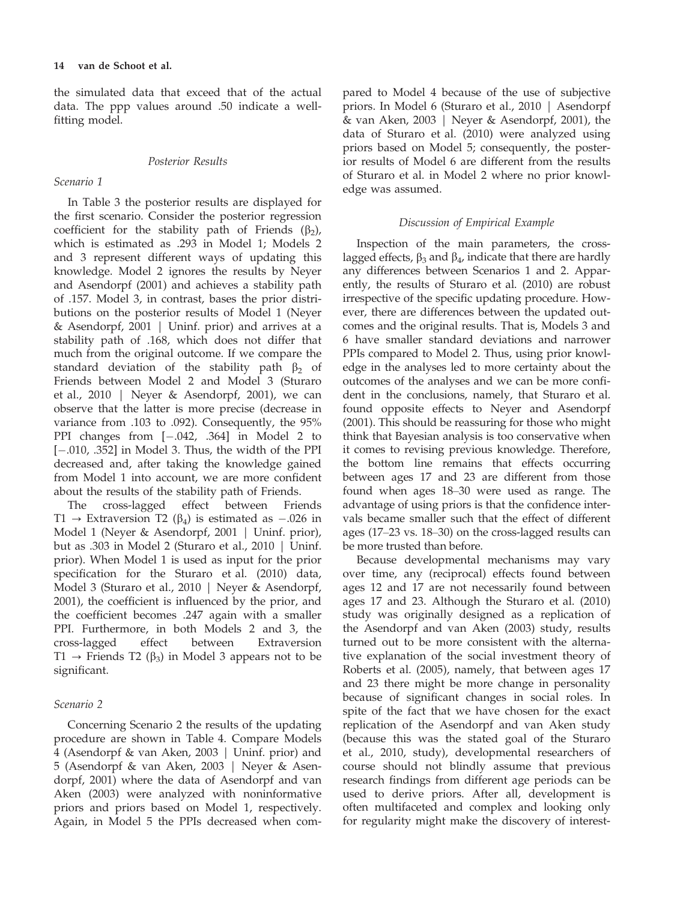the simulated data that exceed that of the actual data. The ppp values around .50 indicate a wellfitting model.

#### Posterior Results

#### Scenario 1

In Table 3 the posterior results are displayed for the first scenario. Consider the posterior regression coefficient for the stability path of Friends  $(\beta_2)$ , which is estimated as .293 in Model 1; Models 2 and 3 represent different ways of updating this knowledge. Model 2 ignores the results by Neyer and Asendorpf (2001) and achieves a stability path of .157. Model 3, in contrast, bases the prior distributions on the posterior results of Model 1 (Neyer & Asendorpf, 2001 | Uninf. prior) and arrives at a stability path of .168, which does not differ that much from the original outcome. If we compare the standard deviation of the stability path  $\beta_2$  of Friends between Model 2 and Model 3 (Sturaro et al., 2010 | Neyer & Asendorpf, 2001), we can observe that the latter is more precise (decrease in variance from .103 to .092). Consequently, the 95% PPI changes from  $[-.042, .364]$  in Model 2 to  $[-.010, .352]$  in Model 3. Thus, the width of the PPI decreased and, after taking the knowledge gained from Model 1 into account, we are more confident about the results of the stability path of Friends.

The cross-lagged effect between Friends T1  $\rightarrow$  Extraversion T2 ( $\beta_4$ ) is estimated as -.026 in Model 1 (Neyer & Asendorpf, 2001 | Uninf. prior), but as .303 in Model 2 (Sturaro et al., 2010 | Uninf. prior). When Model 1 is used as input for the prior specification for the Sturaro et al. (2010) data, Model 3 (Sturaro et al., 2010 | Neyer & Asendorpf, 2001), the coefficient is influenced by the prior, and the coefficient becomes .247 again with a smaller PPI. Furthermore, in both Models 2 and 3, the cross-lagged effect between Extraversion T1  $\rightarrow$  Friends T2 ( $\beta_3$ ) in Model 3 appears not to be significant.

### Scenario 2

Concerning Scenario 2 the results of the updating procedure are shown in Table 4. Compare Models 4 (Asendorpf & van Aken, 2003 | Uninf. prior) and 5 (Asendorpf & van Aken, 2003 | Neyer & Asendorpf, 2001) where the data of Asendorpf and van Aken (2003) were analyzed with noninformative priors and priors based on Model 1, respectively. Again, in Model 5 the PPIs decreased when compared to Model 4 because of the use of subjective priors. In Model 6 (Sturaro et al., 2010 | Asendorpf & van Aken, 2003 | Neyer & Asendorpf, 2001), the data of Sturaro et al. (2010) were analyzed using priors based on Model 5; consequently, the posterior results of Model 6 are different from the results of Sturaro et al. in Model 2 where no prior knowledge was assumed.

#### Discussion of Empirical Example

Inspection of the main parameters, the crosslagged effects,  $\beta_3$  and  $\beta_4$ , indicate that there are hardly any differences between Scenarios 1 and 2. Apparently, the results of Sturaro et al. (2010) are robust irrespective of the specific updating procedure. However, there are differences between the updated outcomes and the original results. That is, Models 3 and 6 have smaller standard deviations and narrower PPIs compared to Model 2. Thus, using prior knowledge in the analyses led to more certainty about the outcomes of the analyses and we can be more confident in the conclusions, namely, that Sturaro et al. found opposite effects to Neyer and Asendorpf (2001). This should be reassuring for those who might think that Bayesian analysis is too conservative when it comes to revising previous knowledge. Therefore, the bottom line remains that effects occurring between ages 17 and 23 are different from those found when ages 18–30 were used as range. The advantage of using priors is that the confidence intervals became smaller such that the effect of different ages (17–23 vs. 18–30) on the cross-lagged results can be more trusted than before.

Because developmental mechanisms may vary over time, any (reciprocal) effects found between ages 12 and 17 are not necessarily found between ages 17 and 23. Although the Sturaro et al. (2010) study was originally designed as a replication of the Asendorpf and van Aken (2003) study, results turned out to be more consistent with the alternative explanation of the social investment theory of Roberts et al. (2005), namely, that between ages 17 and 23 there might be more change in personality because of significant changes in social roles. In spite of the fact that we have chosen for the exact replication of the Asendorpf and van Aken study (because this was the stated goal of the Sturaro et al., 2010, study), developmental researchers of course should not blindly assume that previous research findings from different age periods can be used to derive priors. After all, development is often multifaceted and complex and looking only for regularity might make the discovery of interest-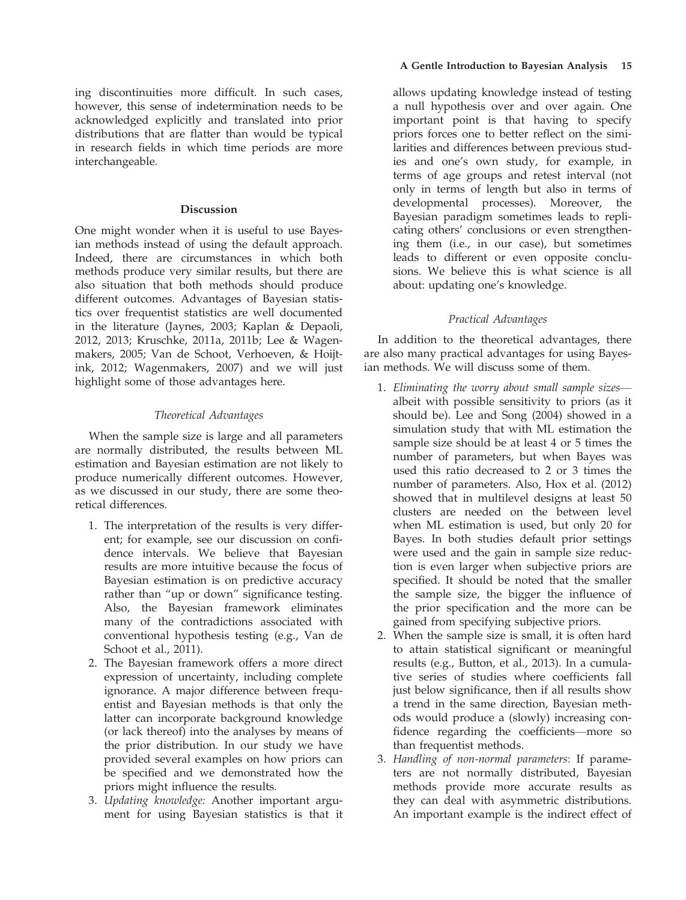ing discontinuities more difficult. In such cases, however, this sense of indetermination needs to be acknowledged explicitly and translated into prior distributions that are flatter than would be typical in research fields in which time periods are more interchangeable.

### Discussion

One might wonder when it is useful to use Bayesian methods instead of using the default approach. Indeed, there are circumstances in which both methods produce very similar results, but there are also situation that both methods should produce different outcomes. Advantages of Bayesian statistics over frequentist statistics are well documented in the literature (Jaynes, 2003; Kaplan & Depaoli, 2012, 2013; Kruschke, 2011a, 2011b; Lee & Wagenmakers, 2005; Van de Schoot, Verhoeven, & Hoijtink, 2012; Wagenmakers, 2007) and we will just highlight some of those advantages here.

### Theoretical Advantages

When the sample size is large and all parameters are normally distributed, the results between ML estimation and Bayesian estimation are not likely to produce numerically different outcomes. However, as we discussed in our study, there are some theoretical differences.

- 1. The interpretation of the results is very different; for example, see our discussion on confidence intervals. We believe that Bayesian results are more intuitive because the focus of Bayesian estimation is on predictive accuracy rather than "up or down" significance testing. Also, the Bayesian framework eliminates many of the contradictions associated with conventional hypothesis testing (e.g., Van de Schoot et al., 2011).
- 2. The Bayesian framework offers a more direct expression of uncertainty, including complete ignorance. A major difference between frequentist and Bayesian methods is that only the latter can incorporate background knowledge (or lack thereof) into the analyses by means of the prior distribution. In our study we have provided several examples on how priors can be specified and we demonstrated how the priors might influence the results.
- 3. Updating knowledge: Another important argument for using Bayesian statistics is that it

allows updating knowledge instead of testing a null hypothesis over and over again. One important point is that having to specify priors forces one to better reflect on the similarities and differences between previous studies and one's own study, for example, in terms of age groups and retest interval (not only in terms of length but also in terms of developmental processes). Moreover, the Bayesian paradigm sometimes leads to replicating others' conclusions or even strengthening them (i.e., in our case), but sometimes leads to different or even opposite conclusions. We believe this is what science is all about: updating one's knowledge.

### Practical Advantages

In addition to the theoretical advantages, there are also many practical advantages for using Bayesian methods. We will discuss some of them.

- 1. Eliminating the worry about small sample sizes albeit with possible sensitivity to priors (as it should be). Lee and Song (2004) showed in a simulation study that with ML estimation the sample size should be at least 4 or 5 times the number of parameters, but when Bayes was used this ratio decreased to 2 or 3 times the number of parameters. Also, Hox et al. (2012) showed that in multilevel designs at least 50 clusters are needed on the between level when ML estimation is used, but only 20 for Bayes. In both studies default prior settings were used and the gain in sample size reduction is even larger when subjective priors are specified. It should be noted that the smaller the sample size, the bigger the influence of the prior specification and the more can be gained from specifying subjective priors.
- 2. When the sample size is small, it is often hard to attain statistical significant or meaningful results (e.g., Button, et al., 2013). In a cumulative series of studies where coefficients fall just below significance, then if all results show a trend in the same direction, Bayesian methods would produce a (slowly) increasing confidence regarding the coefficients—more so than frequentist methods.
- 3. Handling of non-normal parameters: If parameters are not normally distributed, Bayesian methods provide more accurate results as they can deal with asymmetric distributions. An important example is the indirect effect of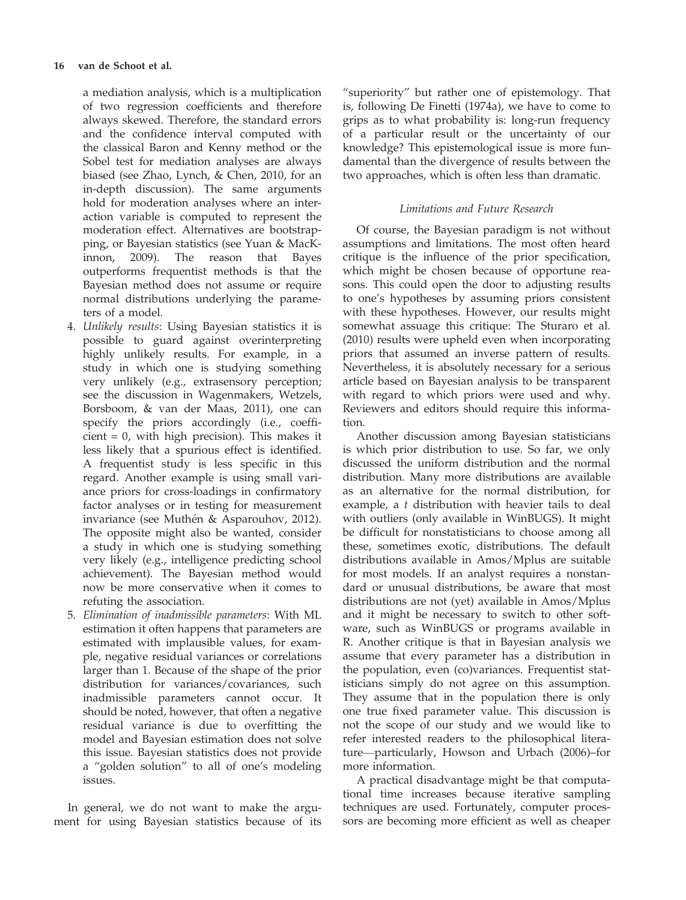a mediation analysis, which is a multiplication of two regression coefficients and therefore always skewed. Therefore, the standard errors and the confidence interval computed with the classical Baron and Kenny method or the Sobel test for mediation analyses are always biased (see Zhao, Lynch, & Chen, 2010, for an in-depth discussion). The same arguments hold for moderation analyses where an interaction variable is computed to represent the moderation effect. Alternatives are bootstrapping, or Bayesian statistics (see Yuan & MacKinnon, 2009). The reason that Bayes outperforms frequentist methods is that the Bayesian method does not assume or require normal distributions underlying the parameters of a model.

- 4. Unlikely results: Using Bayesian statistics it is possible to guard against overinterpreting highly unlikely results. For example, in a study in which one is studying something very unlikely (e.g., extrasensory perception; see the discussion in Wagenmakers, Wetzels, Borsboom, & van der Maas, 2011), one can specify the priors accordingly (i.e., coefficient  $= 0$ , with high precision). This makes it less likely that a spurious effect is identified. A frequentist study is less specific in this regard. Another example is using small variance priors for cross-loadings in confirmatory factor analyses or in testing for measurement invariance (see Muthén & Asparouhov, 2012). The opposite might also be wanted, consider a study in which one is studying something very likely (e.g., intelligence predicting school achievement). The Bayesian method would now be more conservative when it comes to refuting the association.
- 5. Elimination of inadmissible parameters: With ML estimation it often happens that parameters are estimated with implausible values, for example, negative residual variances or correlations larger than 1. Because of the shape of the prior distribution for variances/covariances, such inadmissible parameters cannot occur. It should be noted, however, that often a negative residual variance is due to overfitting the model and Bayesian estimation does not solve this issue. Bayesian statistics does not provide a "golden solution" to all of one's modeling issues.

In general, we do not want to make the argument for using Bayesian statistics because of its "superiority" but rather one of epistemology. That is, following De Finetti (1974a), we have to come to grips as to what probability is: long-run frequency of a particular result or the uncertainty of our knowledge? This epistemological issue is more fundamental than the divergence of results between the two approaches, which is often less than dramatic.

# Limitations and Future Research

Of course, the Bayesian paradigm is not without assumptions and limitations. The most often heard critique is the influence of the prior specification, which might be chosen because of opportune reasons. This could open the door to adjusting results to one's hypotheses by assuming priors consistent with these hypotheses. However, our results might somewhat assuage this critique: The Sturaro et al. (2010) results were upheld even when incorporating priors that assumed an inverse pattern of results. Nevertheless, it is absolutely necessary for a serious article based on Bayesian analysis to be transparent with regard to which priors were used and why. Reviewers and editors should require this information.

Another discussion among Bayesian statisticians is which prior distribution to use. So far, we only discussed the uniform distribution and the normal distribution. Many more distributions are available as an alternative for the normal distribution, for example, a t distribution with heavier tails to deal with outliers (only available in WinBUGS). It might be difficult for nonstatisticians to choose among all these, sometimes exotic, distributions. The default distributions available in Amos/Mplus are suitable for most models. If an analyst requires a nonstandard or unusual distributions, be aware that most distributions are not (yet) available in Amos/Mplus and it might be necessary to switch to other software, such as WinBUGS or programs available in R. Another critique is that in Bayesian analysis we assume that every parameter has a distribution in the population, even (co)variances. Frequentist statisticians simply do not agree on this assumption. They assume that in the population there is only one true fixed parameter value. This discussion is not the scope of our study and we would like to refer interested readers to the philosophical literature—particularly, Howson and Urbach (2006)–for more information.

A practical disadvantage might be that computational time increases because iterative sampling techniques are used. Fortunately, computer processors are becoming more efficient as well as cheaper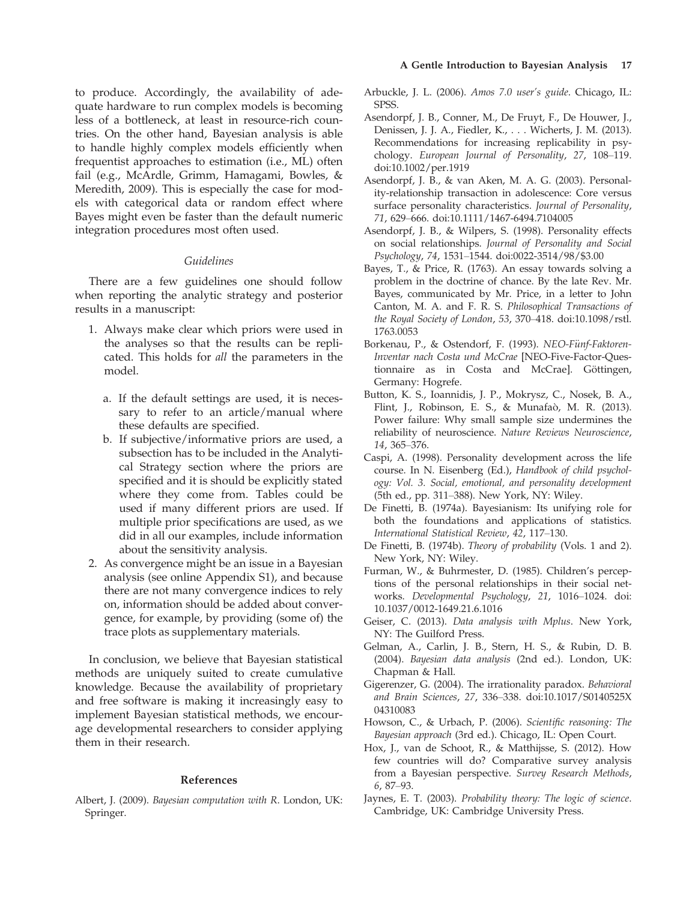to produce. Accordingly, the availability of adequate hardware to run complex models is becoming less of a bottleneck, at least in resource-rich countries. On the other hand, Bayesian analysis is able to handle highly complex models efficiently when frequentist approaches to estimation (i.e., ML) often fail (e.g., McArdle, Grimm, Hamagami, Bowles, & Meredith, 2009). This is especially the case for models with categorical data or random effect where Bayes might even be faster than the default numeric integration procedures most often used.

#### Guidelines

There are a few guidelines one should follow when reporting the analytic strategy and posterior results in a manuscript:

- 1. Always make clear which priors were used in the analyses so that the results can be replicated. This holds for all the parameters in the model.
	- a. If the default settings are used, it is necessary to refer to an article/manual where these defaults are specified.
	- b. If subjective/informative priors are used, a subsection has to be included in the Analytical Strategy section where the priors are specified and it is should be explicitly stated where they come from. Tables could be used if many different priors are used. If multiple prior specifications are used, as we did in all our examples, include information about the sensitivity analysis.
- 2. As convergence might be an issue in a Bayesian analysis (see online Appendix S1), and because there are not many convergence indices to rely on, information should be added about convergence, for example, by providing (some of) the trace plots as supplementary materials.

In conclusion, we believe that Bayesian statistical methods are uniquely suited to create cumulative knowledge. Because the availability of proprietary and free software is making it increasingly easy to implement Bayesian statistical methods, we encourage developmental researchers to consider applying them in their research.

#### References

Albert, J. (2009). Bayesian computation with R. London, UK: Springer.

#### A Gentle Introduction to Bayesian Analysis 17

- Arbuckle, J. L. (2006). Amos 7.0 user's guide. Chicago, IL: SPSS.
- Asendorpf, J. B., Conner, M., De Fruyt, F., De Houwer, J., Denissen, J. J. A., Fiedler, K., . . . Wicherts, J. M. (2013). Recommendations for increasing replicability in psychology. European Journal of Personality, 27, 108–119. doi:10.1002/per.1919
- Asendorpf, J. B., & van Aken, M. A. G. (2003). Personality-relationship transaction in adolescence: Core versus surface personality characteristics. Journal of Personality, 71, 629–666. doi:10.1111/1467-6494.7104005
- Asendorpf, J. B., & Wilpers, S. (1998). Personality effects on social relationships. Journal of Personality and Social Psychology, 74, 1531–1544. doi:0022-3514/98/\$3.00
- Bayes, T., & Price, R. (1763). An essay towards solving a problem in the doctrine of chance. By the late Rev. Mr. Bayes, communicated by Mr. Price, in a letter to John Canton, M. A. and F. R. S. Philosophical Transactions of the Royal Society of London, 53, 370–418. doi:10.1098/rstl. 1763.0053
- Borkenau, P., & Ostendorf, F. (1993). NEO-Fünf-Faktoren-Inventar nach Costa und McCrae [NEO-Five-Factor-Questionnaire as in Costa and McCrae]. Göttingen, Germany: Hogrefe.
- Button, K. S., Ioannidis, J. P., Mokrysz, C., Nosek, B. A., Flint, J., Robinson, E. S., & Munafao, M. R. (2013). Power failure: Why small sample size undermines the reliability of neuroscience. Nature Reviews Neuroscience, 14, 365–376.
- Caspi, A. (1998). Personality development across the life course. In N. Eisenberg (Ed.), Handbook of child psychology: Vol. 3. Social, emotional, and personality development (5th ed., pp. 311–388). New York, NY: Wiley.
- De Finetti, B. (1974a). Bayesianism: Its unifying role for both the foundations and applications of statistics. International Statistical Review, 42, 117–130.
- De Finetti, B. (1974b). Theory of probability (Vols. 1 and 2). New York, NY: Wiley.
- Furman, W., & Buhrmester, D. (1985). Children's perceptions of the personal relationships in their social networks. Developmental Psychology, 21, 1016–1024. doi: 10.1037/0012-1649.21.6.1016
- Geiser, C. (2013). Data analysis with Mplus. New York, NY: The Guilford Press.
- Gelman, A., Carlin, J. B., Stern, H. S., & Rubin, D. B. (2004). Bayesian data analysis (2nd ed.). London, UK: Chapman & Hall.
- Gigerenzer, G. (2004). The irrationality paradox. Behavioral and Brain Sciences, 27, 336–338. doi:10.1017/S0140525X 04310083
- Howson, C., & Urbach, P. (2006). Scientific reasoning: The Bayesian approach (3rd ed.). Chicago, IL: Open Court.
- Hox, J., van de Schoot, R., & Matthijsse, S. (2012). How few countries will do? Comparative survey analysis from a Bayesian perspective. Survey Research Methods, 6, 87–93.
- Jaynes, E. T. (2003). Probability theory: The logic of science. Cambridge, UK: Cambridge University Press.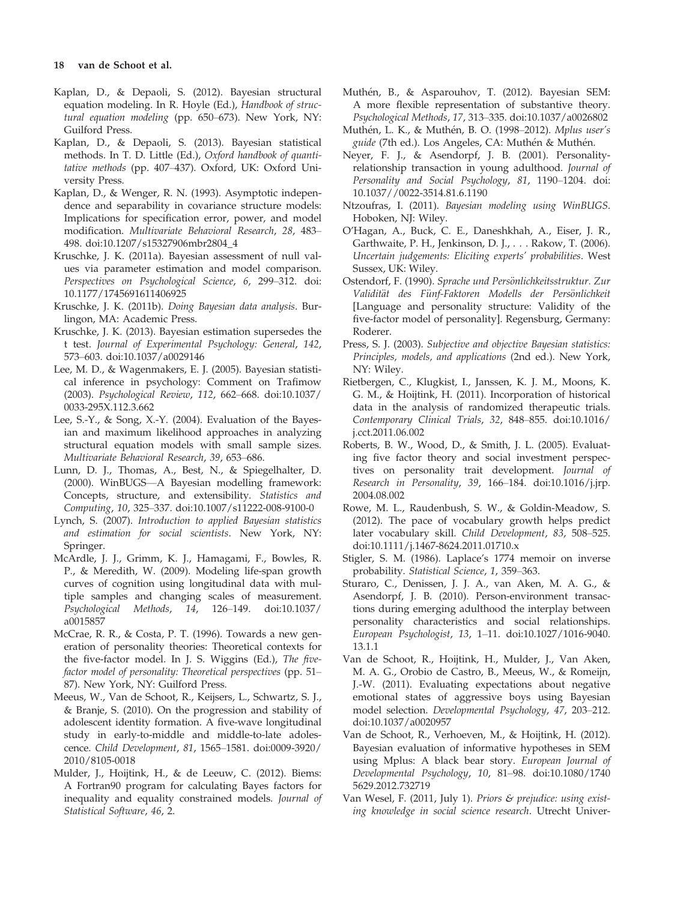#### 18 van de Schoot et al.

- Kaplan, D., & Depaoli, S. (2012). Bayesian structural equation modeling. In R. Hoyle (Ed.), Handbook of structural equation modeling (pp. 650–673). New York, NY: Guilford Press.
- Kaplan, D., & Depaoli, S. (2013). Bayesian statistical methods. In T. D. Little (Ed.), Oxford handbook of quantitative methods (pp. 407–437). Oxford, UK: Oxford University Press.
- Kaplan, D., & Wenger, R. N. (1993). Asymptotic independence and separability in covariance structure models: Implications for specification error, power, and model modification. Multivariate Behavioral Research, 28, 483– 498. doi:10.1207/s15327906mbr2804\_4
- Kruschke, J. K. (2011a). Bayesian assessment of null values via parameter estimation and model comparison. Perspectives on Psychological Science, 6, 299–312. doi: 10.1177/1745691611406925
- Kruschke, J. K. (2011b). Doing Bayesian data analysis. Burlingon, MA: Academic Press.
- Kruschke, J. K. (2013). Bayesian estimation supersedes the t test. Journal of Experimental Psychology: General, 142, 573–603. doi:10.1037/a0029146
- Lee, M. D., & Wagenmakers, E. J. (2005). Bayesian statistical inference in psychology: Comment on Trafimow (2003). Psychological Review, 112, 662–668. doi:10.1037/ 0033-295X.112.3.662
- Lee, S.-Y., & Song, X.-Y. (2004). Evaluation of the Bayesian and maximum likelihood approaches in analyzing structural equation models with small sample sizes. Multivariate Behavioral Research, 39, 653–686.
- Lunn, D. J., Thomas, A., Best, N., & Spiegelhalter, D. (2000). WinBUGS—A Bayesian modelling framework: Concepts, structure, and extensibility. Statistics and Computing, 10, 325–337. doi:10.1007/s11222-008-9100-0
- Lynch, S. (2007). Introduction to applied Bayesian statistics and estimation for social scientists. New York, NY: Springer.
- McArdle, J. J., Grimm, K. J., Hamagami, F., Bowles, R. P., & Meredith, W. (2009). Modeling life-span growth curves of cognition using longitudinal data with multiple samples and changing scales of measurement. Psychological Methods, 14, 126–149. doi:10.1037/ a0015857
- McCrae, R. R., & Costa, P. T. (1996). Towards a new generation of personality theories: Theoretical contexts for the five-factor model. In J. S. Wiggins (Ed.), The fivefactor model of personality: Theoretical perspectives (pp. 51– 87). New York, NY: Guilford Press.
- Meeus, W., Van de Schoot, R., Keijsers, L., Schwartz, S. J., & Branje, S. (2010). On the progression and stability of adolescent identity formation. A five-wave longitudinal study in early-to-middle and middle-to-late adolescence. Child Development, 81, 1565–1581. doi:0009-3920/ 2010/8105-0018
- Mulder, J., Hoijtink, H., & de Leeuw, C. (2012). Biems: A Fortran90 program for calculating Bayes factors for inequality and equality constrained models. Journal of Statistical Software, 46, 2.
- Muth-en, B., & Asparouhov, T. (2012). Bayesian SEM: A more flexible representation of substantive theory. Psychological Methods, 17, 313–335. doi:10.1037/a0026802
- Muthén, L. K., & Muthén, B. O. (1998–2012). *Mplus user's guide* (7th ed.). Los Angeles*,* CA: Muthén & Muthén.
- Neyer, F. J., & Asendorpf, J. B. (2001). Personalityrelationship transaction in young adulthood. Journal of Personality and Social Psychology, 81, 1190–1204. doi: 10.1037//0022-3514.81.6.1190
- Ntzoufras, I. (2011). Bayesian modeling using WinBUGS. Hoboken, NJ: Wiley.
- O'Hagan, A., Buck, C. E., Daneshkhah, A., Eiser, J. R., Garthwaite, P. H., Jenkinson, D. J., . . . Rakow, T. (2006). Uncertain judgements: Eliciting experts' probabilities. West Sussex, UK: Wiley.
- Ostendorf, F. (1990). Sprache und Persönlichkeitsstruktur. Zur Validität des Fünf-Faktoren Modells der Persönlichkeit [Language and personality structure: Validity of the five-factor model of personality]. Regensburg, Germany: Roderer.
- Press, S. J. (2003). Subjective and objective Bayesian statistics: Principles, models, and applications (2nd ed.). New York, NY: Wiley.
- Rietbergen, C., Klugkist, I., Janssen, K. J. M., Moons, K. G. M., & Hoijtink, H. (2011). Incorporation of historical data in the analysis of randomized therapeutic trials. Contemporary Clinical Trials, 32, 848–855. doi:10.1016/ j.cct.2011.06.002
- Roberts, B. W., Wood, D., & Smith, J. L. (2005). Evaluating five factor theory and social investment perspectives on personality trait development. Journal of Research in Personality, 39, 166–184. doi:10.1016/j.jrp. 2004.08.002
- Rowe, M. L., Raudenbush, S. W., & Goldin-Meadow, S. (2012). The pace of vocabulary growth helps predict later vocabulary skill. Child Development, 83, 508–525. doi:10.1111/j.1467-8624.2011.01710.x
- Stigler, S. M. (1986). Laplace's 1774 memoir on inverse probability. Statistical Science, 1, 359–363.
- Sturaro, C., Denissen, J. J. A., van Aken, M. A. G., & Asendorpf, J. B. (2010). Person-environment transactions during emerging adulthood the interplay between personality characteristics and social relationships. European Psychologist, 13, 1–11. doi:10.1027/1016-9040. 13.1.1
- Van de Schoot, R., Hoijtink, H., Mulder, J., Van Aken, M. A. G., Orobio de Castro, B., Meeus, W., & Romeijn, J.-W. (2011). Evaluating expectations about negative emotional states of aggressive boys using Bayesian model selection. Developmental Psychology, 47, 203–212. doi:10.1037/a0020957
- Van de Schoot, R., Verhoeven, M., & Hoijtink, H. (2012). Bayesian evaluation of informative hypotheses in SEM using Mplus: A black bear story. European Journal of Developmental Psychology, 10, 81–98. doi:10.1080/1740 5629.2012.732719
- Van Wesel, F. (2011, July 1). Priors & prejudice: using existing knowledge in social science research. Utrecht Univer-